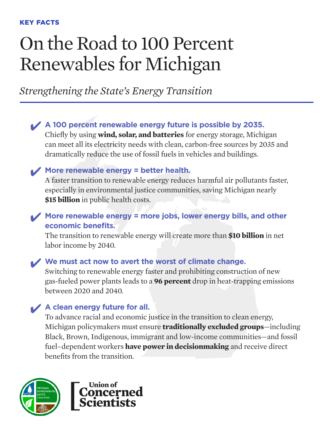# On the Road to 100 Percent Renewables for Michigan

*Strengthening the State's Energy Transition*

✔ **A 100 percent renewable energy future is possible by 2035.**

Chiefly by using **wind, solar, and batteries** for energy storage, Michigan can meet all its electricity needs with clean, carbon-free sources by 2035 and dramatically reduce the use of fossil fuels in vehicles and buildings.

# ✔ **More renewable energy = better health.**

A faster transition to renewable energy reduces harmful air pollutants faster, especially in environmental justice communities, saving Michigan nearly **\$15 billion** in public health costs.

# ✔ **More renewable energy = more jobs, lower energy bills, and other economic benefits.**

The transition to renewable energy will create more than **\$10 billion** in net labor income by 2040.

# ✔ **We must act now to avert the worst of climate change.**

Switching to renewable energy faster and prohibiting construction of new gas-fueled power plants leads to a **96 percent** drop in heat-trapping emissions between 2020 and 2040.

# ✔ **A clean energy future for all.**

To advance racial and economic justice in the transition to clean energy, Michigan policymakers must ensure **traditionally excluded groups**—including Black, Brown, Indigenous, immigrant and low-income communities—and fossil fuel–dependent workers **have power in decisionmaking** and receive direct benefits from the transition.



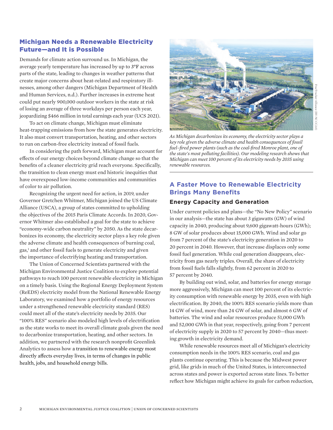## Michigan Needs a Renewable Electricity Future—and It is Possible

Demands for climate action surround us. In Michigan, the average yearly temperature has increased by up to 3°F across parts of the state, leading to changes in weather patterns that create major concerns about heat-related and respiratory illnesses, among other dangers (Michigan Department of Health and Human Services, n.d.). Further increases in extreme heat could put nearly 900,000 outdoor workers in the state at risk of losing an average of three workdays per person each year, jeopardizing \$466 million in total earnings each year (UCS 2021).

To act on climate change, Michigan must eliminate heat-trapping emissions from how the state generates electricity. It also must convert transportation, heating, and other sectors to run on carbon-free electricity instead of fossil fuels.

In considering the path forward, Michigan must account for effects of our energy choices beyond climate change so that the benefits of a cleaner electricity grid reach everyone. Specifically, the transition to clean energy must end historic inequities that have overexposed low-income communities and communities of color to air pollution.

Recognizing the urgent need for action, in 2019, under Governor Gretchen Whitmer, Michigan joined the US Climate Alliance (USCA), a group of states committed to upholding the objectives of the 2015 Paris Climate Accords. In 2020, Governor Whitmer also established a goal for the state to achieve "economy-wide carbon neutrality" by 2050. As the state decarbonizes its economy, the electricity sector plays a key role given the adverse climate and health consequences of burning coal, gas,<sup>1</sup> and other fossil fuels to generate electricity and given the importance of electrifying heating and transportation.

The Union of Concerned Scientists partnered with the Michigan Environmental Justice Coalition to explore potential pathways to reach 100 percent renewable electricity in Michigan on a timely basis. Using the Regional Energy Deployment System (ReEDS) electricity model from the National Renewable Energy Laboratory, we examined how a portfolio of energy resources under a strengthened renewable electricity standard (RES) could meet all of the state's electricity needs by 2035. Our "100% RES" scenario also modeled high levels of electrification as the state works to meet its overall climate goals given the need to decarbonize transportation, heating, and other sectors. In addition, we partnered with the research nonprofit Greenlink Analytics to assess how a transition to renewable energy most directly affects everyday lives, in terms of changes in public health, jobs, and household energy bills.



*As Michigan decarbonizes its economy, the electricity sector plays a key role given the adverse climate and health consequences of fossil fuel–fired power plants (such as the coal-fired Monroe plant, one of the state's most polluting facilities). Our modeling research shows that Michigan can meet 100 percent of its electricity needs by 2035 using renewable resources.* 

# **A Faster Move to Renewable Electricity Brings Many Benefits**

#### **Energy Capacity and Generation**

Under current policies and plans—the "No New Policy" scenario in our analysis—the state has about 3 gigawatts (GW) of wind capacity in 2040, producing about 9,600 gigawatt-hours (GWh); 8 GW of solar produces about 15,000 GWh. Wind and solar go from 7 percent of the state's electricity generation in 2020 to 20 percent in 2040. However, that increase displaces only some fossil fuel generation. While coal generation disappears, electricity from gas nearly triples. Overall, the share of electricity from fossil fuels falls slightly, from 62 percent in 2020 to 57 percent by 2040.

By building out wind, solar, and batteries for energy storage more aggressively, Michigan can meet 100 percent of its electricity consumption with renewable energy by 2035, even with high electrification. By 2040, the 100% RES scenario yields more than 14 GW of wind, more than 24 GW of solar, and almost 6 GW of batteries. The wind and solar resources produce 51,000 GWh and 52,000 GWh in that year, respectively, going from 7 percent of electricity supply in 2020 to 57 percent by 2040—thus meeting growth in electricity demand.

While renewable resources meet all of Michigan's electricity consumption needs in the 100% RES scenario, coal and gas plants continue operating. This is because the Midwest power grid, like grids in much of the United States, is interconnected across states and power is exported across state lines. To better reflect how Michigan might achieve its goals for carbon reduction,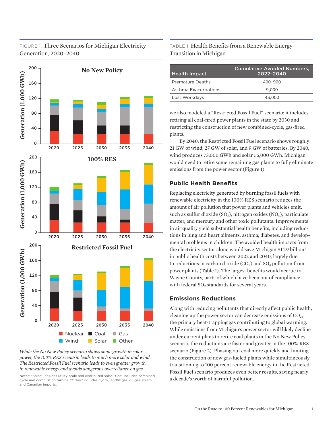# FIGURE 1. Three Scenarios for Michigan Electricity Generation, 2020–2040



*While the No New Policy scenario shows some growth in solar power, the 100% RES scenario leads to much more solar and wind. The Restricted Fossil Fuel scenario leads to even greater growth in renewable energy and avoids dangerous overreliance on gas.*

Notes: "Solar" includes utility scale and distributed solar. "Gas" includes combinedcycle and combustion turbine. "Other" includes hydro, landfill gas, oil-gas-steam, and Canadian imports.

## TABLE 1. Health Benefits from a Renewable Energy Transition in Michigan

| <b>Health Impact</b> | <b>Cumulative Avoided Numbers,</b><br>2022-2040 |
|----------------------|-------------------------------------------------|
| Premature Deaths     | 400-900                                         |
| Asthma Exacerbations | 9.000                                           |
| Lost Workdays        | 43.000                                          |

we also modeled a "Restricted Fossil Fuel" scenario; it includes retiring all coal-fired power plants in the state by 2030 and restricting the construction of new combined-cycle, gas-fired plants.

By 2040, the Restricted Fossil Fuel scenario shows roughly 21 GW of wind, 27 GW of solar, and 9 GW of batteries. By 2040, wind produces 73,000 GWh and solar 55,000 GWh. Michigan would need to retire some remaining gas plants to fully eliminate emissions from the power sector (Figure 1).

## **Public Health Benefits**

Replacing electricity generated by burning fossil fuels with renewable electricity in the 100% RES scenario reduces the amount of air pollution that power plants and vehicles emit, such as sulfur dioxide (SO<sub>2</sub>), nitrogen oxides (NO<sub>x</sub>), particulate matter, and mercury and other toxic pollutants. Improvements in air quality yield substantial health benefits, including reductions in lung and heart ailments, asthma, diabetes, and developmental problems in children. The avoided health impacts from the electricity sector alone would save Michigan \$14.9 billion<sup>2</sup> in public health costs between 2022 and 2040, largely due to reductions in carbon dioxide  $(CO<sub>2</sub>)$  and  $SO<sub>2</sub>$  pollution from power plants (Table 1). The largest benefits would accrue to Wayne County, parts of which have been out of compliance with federal  $SO<sub>2</sub>$  standards for several years.

## **Emissions Reductions**

Along with reducing pollutants that directly affect public health, cleaning up the power sector can decrease emissions of  $CO<sub>2</sub>$ , the primary heat-trapping gas contributing to global warming. While emissions from Michigan's power sector will likely decline under current plans to retire coal plants in the No New Policy scenario, the reductions are faster and greater in the 100% RES scenario (Figure 2). Phasing out coal more quickly and limiting the construction of new gas-fueled plants while simultaneously transitioning to 100 percent renewable energy in the Restricted Fossil Fuel scenario produces even better results, saving nearly a decade's worth of harmful pollution.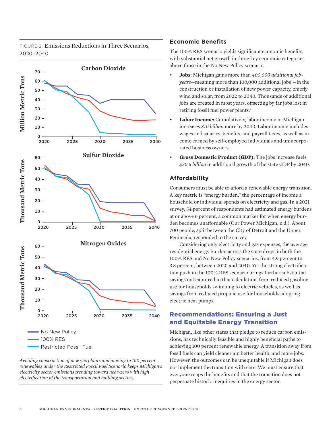FIGURE 2. Emissions Reductions in Three Scenarios, 2020–2040



*Avoiding construction of new gas plants and moving to 100 percent renewables under the Restricted Fossil Fuel Scenario keeps Michigan's electricity sector emissions trending toward near-zero with high electrification of the transportation and building sectors.*

4

#### **Economic Benefits**

The 100% RES scenario yields significant economic benefits, with substantial net growth in three key economic categories above those in the No New Policy scenario.

- **Jobs:** Michigan gains more than *400,000 additional job*y*ears*—meaning more than 100,000 additional jobs<sup>3</sup>—in the construction or installation of new power capacity, chiefly wind and solar, from 2022 to 2040. Thousands of additional jobs are created in most years, offsetting by far jobs lost in retiring fossil fuel power plants.<sup>4</sup>
- **Labor Income:** Cumulatively, labor income in Michigan increases *\$10 billion* more by 2040. Labor income includes wages and salaries, benefits, and payroll taxes, as well as income earned by self-employed individuals and unincorporated business owners.
- **Gross Domestic Product (GDP):** The jobs increase fuels *\$20.6 billion* in additional growth of the state GDP by 2040.

## **Affordability**

Consumers must be able to afford a renewable energy transition. A key metric is "energy burden," the percentage of income a household or individual spends on electricity and gas. In a 2021 survey, 54 percent of respondents had estimated energy burdens at or above 6 percent, a common marker for when energy burden becomes unaffordable (Our Power Michigan, n.d.). About 700 people, split between the City of Detroit and the Upper Peninsula, responded to the survey.

Considering only electricity and gas expenses, the average residential energy burden across the state drops in both the 100% RES and No New Policy scenarios, from 4.9 percent to 3.8 percent, between 2020 and 2040. Yet the strong electrification push in the 100% RES scenario brings further substantial savings not captured in that calculation, from reduced gasoline use for households switching to electric vehicles, as well as savings from reduced propane use for households adopting electric heat pumps.

## Recommendations: Ensuring a Just and Equitable Energy Transition

Michigan, like other states that pledge to reduce carbon emissions, has technically feasible and highly beneficial paths to achieving 100 percent renewable energy. A transition away from fossil fuels can yield cleaner air, better health, and more jobs. However, the outcomes can be unequitable if Michigan does not implement the transition with care. We must ensure that everyone reaps the benefits and that the transition does not perpetuate historic inequities in the energy sector.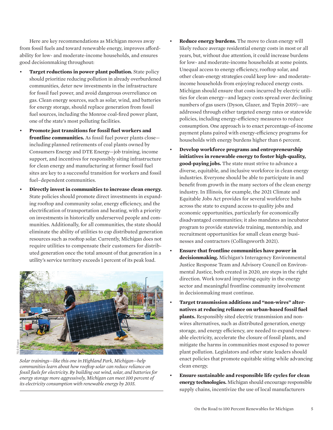Here are key recommendations as Michigan moves away from fossil fuels and toward renewable energy, improves affordability for low- and moderate-income households, and ensures good decisionmaking throughout:

- **Target reductions in power plant pollution.** State policy should prioritize reducing pollution in already overburdened communities, deter new investments in the infrastructure for fossil fuel power, and avoid dangerous overreliance on gas. Clean energy sources, such as solar, wind, and batteries for energy storage, should replace generation from fossil fuel sources, including the Monroe coal-fired power plant, one of the state's most polluting facilities.
- **Promote just transitions for fossil fuel workers and frontline communities.** As fossil fuel power plants close including planned retirements of coal plants owned by Consumers Energy and DTE Energy—job training, income support, and incentives for responsibly siting infrastructure for clean energy and manufacturing at former fossil fuel sites are key to a successful transition for workers and fossil fuel–dependent communities.
- **Directly invest in communities to increase clean energy.** State policies should promote direct investments in expanding rooftop and community solar, energy efficiency, and the electrification of transportation and heating, with a priority on investments in historically underserved people and communities. Additionally, for all communities, the state should eliminate the ability of utilities to cap distributed generation resources such as rooftop solar. Currently, Michigan does not require utilities to compensate their customers for distributed generation once the total amount of that generation in a utility's service territory exceeds 1 percent of its peak load.



- **Reduce energy burdens.** The move to clean energy will likely reduce average residential energy costs in most or all years, but, without due attention, it could increase burdens for low- and moderate-income households at some points. Unequal access to energy efficiency, rooftop solar, and other clean-energy strategies could keep low- and moderateincome households from enjoying reduced energy costs. Michigan should ensure that costs incurred by electric utilities for clean energy—and legacy costs spread over declining numbers of gas users (Dyson, Glazer, and Tepin 2019)—are addressed through either targeted energy rates or statewide policies, including energy-efficiency measures to reduce consumption. One approach is to enact percentage-of-income payment plans paired with energy-efficiency programs for households with energy burdens higher than 6 percent.
- **Develop workforce programs and entrepreneurship initiatives in renewable energy to foster high-quality, good-paying jobs.** The state must strive to advance a diverse, equitable, and inclusive workforce in clean energy industries. Everyone should be able to participate in and benefit from growth in the many sectors of the clean energy industry. In Illinois, for example, the 2021 Climate and Equitable Jobs Act provides for several workforce hubs across the state to expand access to quality jobs and economic opportunities, particularly for economically disadvantaged communities; it also mandates an incubator program to provide statewide training, mentorship, and recruitment opportunities for small clean energy businesses and contractors (Collingsworth 2021).
- **Ensure that frontline communities have power in decisionmaking.** Michigan's Interagency Environmental Justice Response Team and Advisory Council on Environmental Justice, both created in 2020, are steps in the right direction. Work toward improving equity in the energy sector and meaningful frontline community involvement in decisionmaking must continue.
- **Target transmission additions and "non-wires" alternatives at reducing reliance on urban-based fossil fuel plants.** Responsibly sited electric transmission and nonwires alternatives, such as distributed generation, energy storage, and energy efficiency, are needed to expand renewable electricity, accelerate the closure of fossil plants, and mitigate the harms in communities most exposed to power plant pollution. Legislators and other state leaders should enact policies that promote equitable siting while advancing clean energy.
- **Ensure sustainable and responsible life cycles for clean energy technologies.** Michigan should encourage responsible supply chains, incentivize the use of local manufacturers